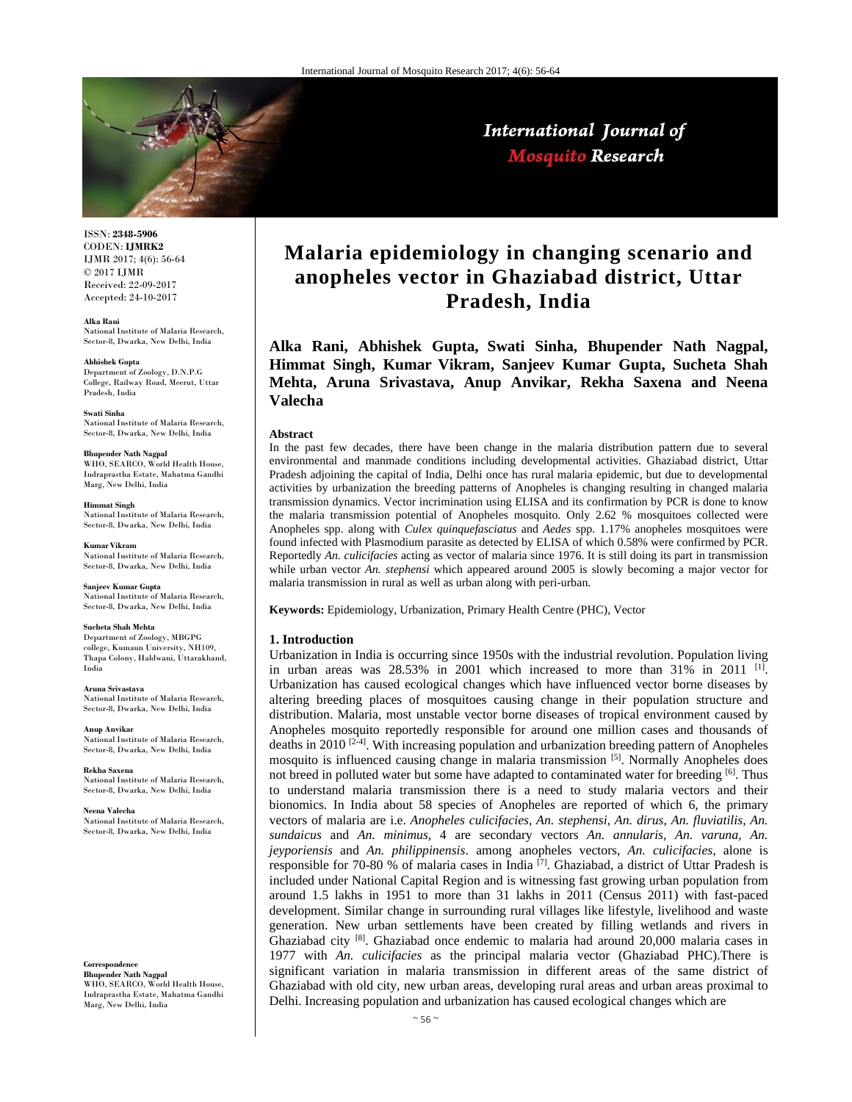

International Journal of **Mosquito Research** 

ISSN: **2348-5906** CODEN: **IJMRK2** IJMR 2017; 4(6): 56-64 © 2017 IJMR Received: 22-09-2017 Accepted: 24-10-2017

**Alka Rani**  National Institute of Malaria Research, Sector-8, Dwarka, New Delhi, India

**Abhishek Gupta**  Department of Zoology, D.N.P.G College, Railway Road, Meerut, Uttar Pradesh, India

**Swati Sinha** National Institute of Malaria Research, Sector-8, Dwarka, New Delhi, India

**Bhupender Nath Nagpal**  WHO, SEARCO, World Health House, Indraprastha Estate, Mahatma Gandhi Marg, New Delhi, India

**Himmat Singh**  National Institute of Malaria Research, Sector-8, Dwarka, New Delhi, India

**KumarVikram**  National Institute of Malaria Research, Sector-8, Dwarka, New Delhi, India

**Sanjeev Kumar Gupta**  National Institute of Malaria Research, Sector-8, Dwarka, New Delhi, India

**Sucheta Shah Mehta**  Department of Zoology, MBGPG college, Kumaun University, NH109, Thapa Colony, Haldwani, Uttarakhand, India

**Aruna Srivastava**  National Institute of Malaria Research, Sector-8, Dwarka, New Delhi, India

**Anup Anvikar**  National Institute of Malaria Research, Sector-8, Dwarka, New Delhi, India

**Rekha Saxena**  National Institute of Malaria Research, Sector-8, Dwarka, New Delhi, India

**Neena Valecha**  National Institute of Malaria Research, Sector-8, Dwarka, New Delhi, India

**Correspondence Bhupender Nath Nagpal** 

WHO, SEARCO, World Health House, Indraprastha Estate, Mahatma Gandhi Marg, New Delhi, India

# **Malaria epidemiology in changing scenario and anopheles vector in Ghaziabad district, Uttar Pradesh, India**

**Alka Rani, Abhishek Gupta, Swati Sinha, Bhupender Nath Nagpal, Himmat Singh, Kumar Vikram, Sanjeev Kumar Gupta, Sucheta Shah Mehta, Aruna Srivastava, Anup Anvikar, Rekha Saxena and Neena Valecha**

#### **Abstract**

In the past few decades, there have been change in the malaria distribution pattern due to several environmental and manmade conditions including developmental activities. Ghaziabad district, Uttar Pradesh adjoining the capital of India, Delhi once has rural malaria epidemic, but due to developmental activities by urbanization the breeding patterns of Anopheles is changing resulting in changed malaria transmission dynamics. Vector incrimination using ELISA and its confirmation by PCR is done to know the malaria transmission potential of Anopheles mosquito. Only 2.62 % mosquitoes collected were Anopheles spp. along with *Culex quinquefasciatus* and *Aedes* spp. 1.17% anopheles mosquitoes were found infected with Plasmodium parasite as detected by ELISA of which 0.58% were confirmed by PCR. Reportedly *An. culicifacies* acting as vector of malaria since 1976. It is still doing its part in transmission while urban vector *An. stephensi* which appeared around 2005 is slowly becoming a major vector for malaria transmission in rural as well as urban along with peri-urban.

**Keywords:** Epidemiology, Urbanization, Primary Health Centre (PHC), Vector

#### **1. Introduction**

Urbanization in India is occurring since 1950s with the industrial revolution. Population living in urban areas was  $28.53\%$  in 2001 which increased to more than  $31\%$  in 2011 <sup>[1]</sup>. Urbanization has caused ecological changes which have influenced vector borne diseases by altering breeding places of mosquitoes causing change in their population structure and distribution. Malaria, most unstable vector borne diseases of tropical environment caused by Anopheles mosquito reportedly responsible for around one million cases and thousands of deaths in 2010  $[2-4]$ . With increasing population and urbanization breeding pattern of Anopheles mosquito is influenced causing change in malaria transmission [5]. Normally Anopheles does not breed in polluted water but some have adapted to contaminated water for breeding [6]. Thus to understand malaria transmission there is a need to study malaria vectors and their bionomics. In India about 58 species of Anopheles are reported of which 6, the primary vectors of malaria are i.e. *Anopheles culicifacies, An. stephensi, An. dirus, An. fluviatilis, An. sundaicus* and *An. minimus,* 4 are secondary vectors *An. annularis, An. varuna, An. jeyporiensis* and *An. philippinensis*. among anopheles vectors, *An. culicifacies*, alone is responsible for 70-80 % of malaria cases in India  $[7]$ . Ghaziabad, a district of Uttar Pradesh is included under National Capital Region and is witnessing fast growing urban population from around 1.5 lakhs in 1951 to more than 31 lakhs in 2011 (Census 2011) with fast-paced development. Similar change in surrounding rural villages like lifestyle, livelihood and waste generation. New urban settlements have been created by filling wetlands and rivers in Ghaziabad city [8]. Ghaziabad once endemic to malaria had around 20,000 malaria cases in 1977 with *An. culicifacies* as the principal malaria vector (Ghaziabad PHC).There is significant variation in malaria transmission in different areas of the same district of Ghaziabad with old city, new urban areas, developing rural areas and urban areas proximal to Delhi. Increasing population and urbanization has caused ecological changes which are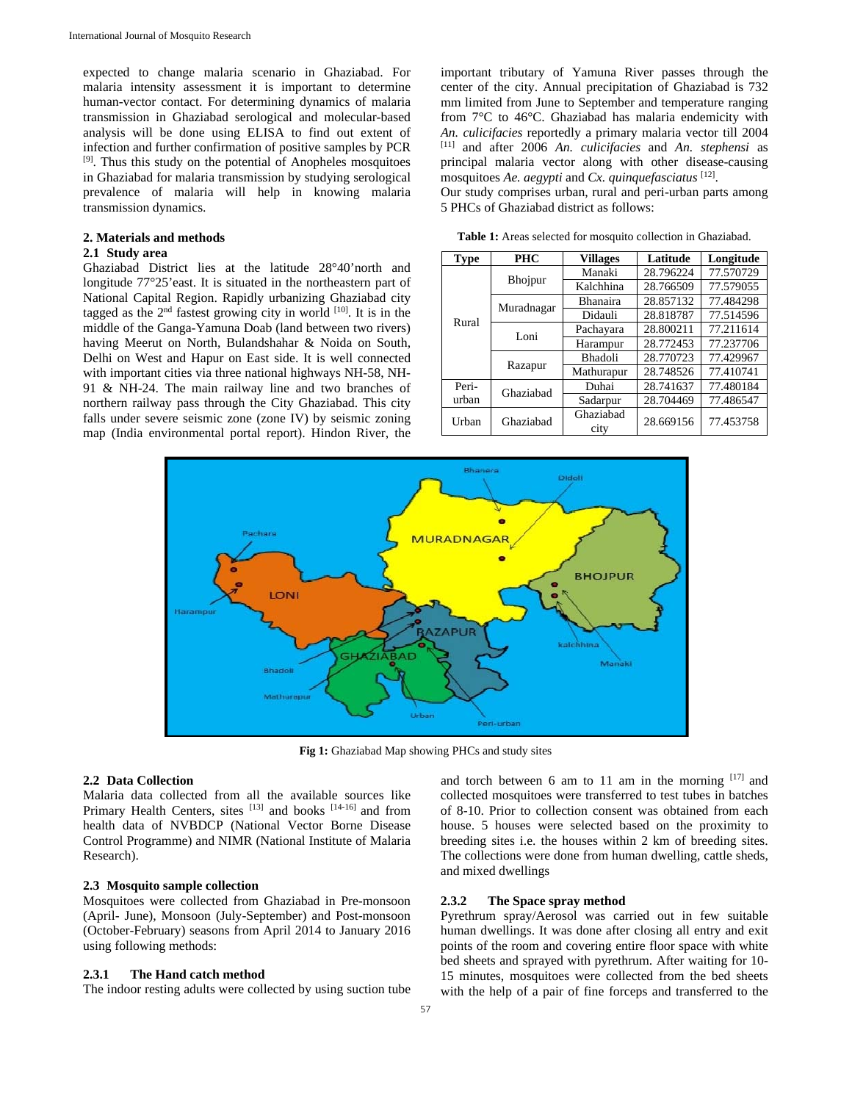expected to change malaria scenario in Ghaziabad. For malaria intensity assessment it is important to determine human-vector contact. For determining dynamics of malaria transmission in Ghaziabad serological and molecular-based analysis will be done using ELISA to find out extent of infection and further confirmation of positive samples by PCR  $[9]$ . Thus this study on the potential of Anopheles mosquitoes in Ghaziabad for malaria transmission by studying serological prevalence of malaria will help in knowing malaria transmission dynamics.

## **2. Materials and methods**

#### **2.1 Study area**

Ghaziabad District lies at the latitude 28°40'north and longitude 77°25'east. It is situated in the northeastern part of National Capital Region. Rapidly urbanizing Ghaziabad city tagged as the  $2<sup>nd</sup>$  fastest growing city in world  $[10]$ . It is in the middle of the Ganga-Yamuna Doab (land between two rivers) having Meerut on North, Bulandshahar & Noida on South, Delhi on West and Hapur on East side. It is well connected with important cities via three national highways NH-58, NH-91 & NH-24. The main railway line and two branches of northern railway pass through the City Ghaziabad. This city falls under severe seismic zone (zone IV) by seismic zoning map (India environmental portal report). Hindon River, the

important tributary of Yamuna River passes through the center of the city. Annual precipitation of Ghaziabad is 732 mm limited from June to September and temperature ranging from 7°C to 46°C. Ghaziabad has malaria endemicity with *An. culicifacies* reportedly a primary malaria vector till 2004 [11] and after 2006 *An. culicifacies* and *An. stephensi* as principal malaria vector along with other disease-causing mosquitoes *Ae. aegypti* and *Cx. quinquefasciatus* [12].

Our study comprises urban, rural and peri-urban parts among 5 PHCs of Ghaziabad district as follows:

| <b>Type</b> | <b>PHC</b>     | <b>Villages</b>   | Latitude  | Longitude |
|-------------|----------------|-------------------|-----------|-----------|
|             |                | Manaki            | 28.796224 | 77.570729 |
|             | <b>Bhojpur</b> | Kalchhina         | 28.766509 | 77.579055 |
|             | Muradnagar     | <b>Bhanaira</b>   | 28.857132 | 77.484298 |
| Rural       |                | Didauli           | 28.818787 | 77.514596 |
|             | Loni           | Pachayara         | 28.800211 | 77.211614 |
|             |                | Harampur          | 28.772453 | 77.237706 |
|             |                | <b>Bhadoli</b>    | 28.770723 | 77.429967 |
|             | Razapur        | Mathurapur        | 28.748526 | 77.410741 |
| Peri-       | Ghaziabad      | Duhai             | 28.741637 | 77.480184 |
| urban       |                | Sadarpur          | 28.704469 | 77.486547 |
| Urban       | Ghaziabad      | Ghaziabad<br>city | 28.669156 | 77.453758 |

**Table 1:** Areas selected for mosquito collection in Ghaziabad.



Fig 1: Ghaziabad Map showing PHCs and study sites

# **2.2 Data Collection**

Malaria data collected from all the available sources like Primary Health Centers, sites [13] and books [14-16] and from health data of NVBDCP (National Vector Borne Disease Control Programme) and NIMR (National Institute of Malaria Research).

### **2.3 Mosquito sample collection**

Mosquitoes were collected from Ghaziabad in Pre-monsoon (April- June), Monsoon (July-September) and Post-monsoon (October-February) seasons from April 2014 to January 2016 using following methods:

## **2.3.1 The Hand catch method**

The indoor resting adults were collected by using suction tube

and torch between 6 am to 11 am in the morning  $[17]$  and collected mosquitoes were transferred to test tubes in batches of 8-10. Prior to collection consent was obtained from each house. 5 houses were selected based on the proximity to breeding sites i.e. the houses within 2 km of breeding sites. The collections were done from human dwelling, cattle sheds, and mixed dwellings

## **2.3.2 The Space spray method**

Pyrethrum spray/Aerosol was carried out in few suitable human dwellings. It was done after closing all entry and exit points of the room and covering entire floor space with white bed sheets and sprayed with pyrethrum. After waiting for 10- 15 minutes, mosquitoes were collected from the bed sheets with the help of a pair of fine forceps and transferred to the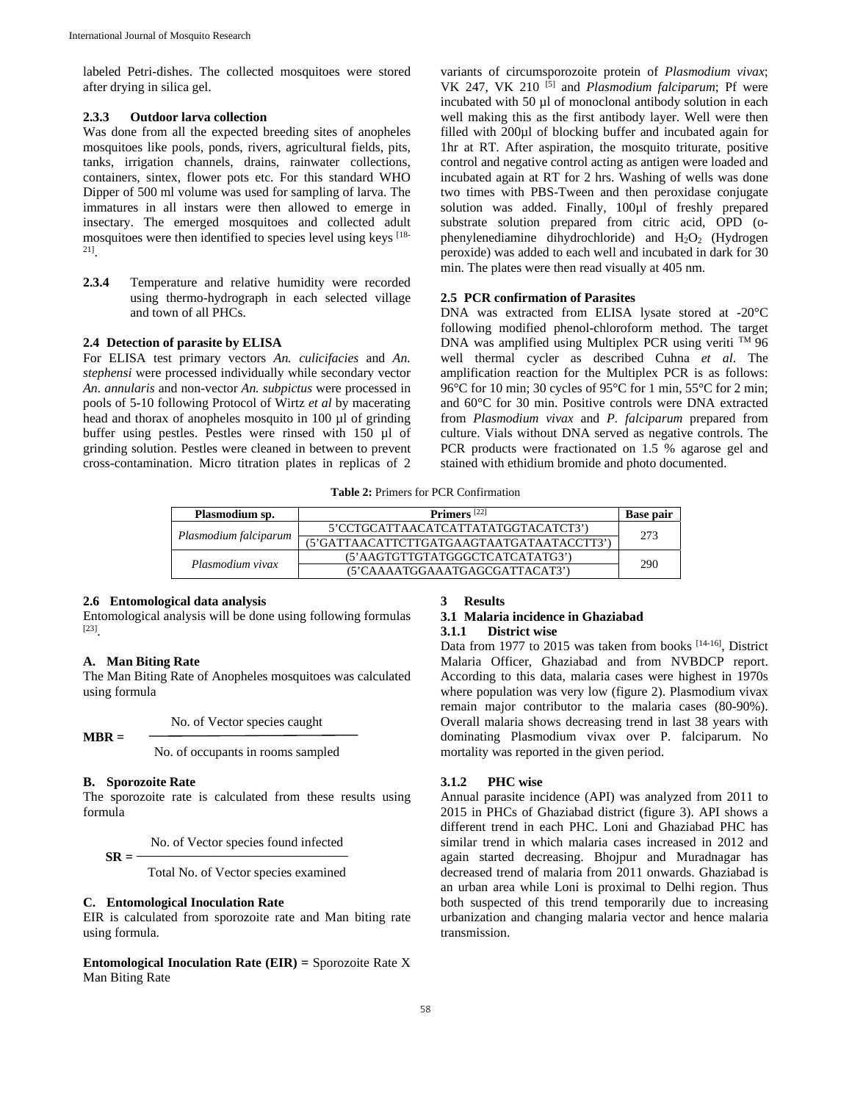labeled Petri-dishes. The collected mosquitoes were stored after drying in silica gel.

#### **2.3.3 Outdoor larva collection**

Was done from all the expected breeding sites of anopheles mosquitoes like pools, ponds, rivers, agricultural fields, pits, tanks, irrigation channels, drains, rainwater collections, containers, sintex, flower pots etc. For this standard WHO Dipper of 500 ml volume was used for sampling of larva. The immatures in all instars were then allowed to emerge in insectary. The emerged mosquitoes and collected adult mosquitoes were then identified to species level using keys [18- 21].

**2.3.4** Temperature and relative humidity were recorded using thermo-hydrograph in each selected village and town of all PHCs.

## **2.4 Detection of parasite by ELISA**

For ELISA test primary vectors *An. culicifacies* and *An. stephensi* were processed individually while secondary vector *An. annularis* and non-vector *An. subpictus* were processed in pools of 5-10 following Protocol of Wirtz *et al* by macerating head and thorax of anopheles mosquito in 100 µl of grinding buffer using pestles. Pestles were rinsed with 150 µl of grinding solution. Pestles were cleaned in between to prevent cross-contamination. Micro titration plates in replicas of 2

variants of circumsporozoite protein of *Plasmodium vivax*; VK 247, VK 210 [5] and *Plasmodium falciparum*; Pf were incubated with 50 µl of monoclonal antibody solution in each well making this as the first antibody layer. Well were then filled with 200 $\mu$ l of blocking buffer and incubated again for 1hr at RT. After aspiration, the mosquito triturate, positive control and negative control acting as antigen were loaded and incubated again at RT for 2 hrs. Washing of wells was done two times with PBS-Tween and then peroxidase conjugate solution was added. Finally,  $100 \mu$ l of freshly prepared substrate solution prepared from citric acid, OPD (ophenylenediamine dihydrochloride) and H<sub>2</sub>O<sub>2</sub> (Hydrogen peroxide) was added to each well and incubated in dark for 30 min. The plates were then read visually at 405 nm.

# **2.5 PCR confirmation of Parasites**

DNA was extracted from ELISA lysate stored at -20°C following modified phenol-chloroform method. The target DNA was amplified using Multiplex PCR using veriti ™ 96 well thermal cycler as described Cuhna *et al*. The amplification reaction for the Multiplex PCR is as follows: 96°C for 10 min; 30 cycles of 95°C for 1 min, 55°C for 2 min; and 60°C for 30 min. Positive controls were DNA extracted from *Plasmodium vivax* and *P. falciparum* prepared from culture. Vials without DNA served as negative controls. The PCR products were fractionated on 1.5 % agarose gel and stained with ethidium bromide and photo documented.

**Table 2:** Primers for PCR Confirmation

| Plasmodium sp.        | Primers <sup>[22]</sup>                   | <b>Base pair</b> |  |
|-----------------------|-------------------------------------------|------------------|--|
|                       | 5'CCTGCATTAACATCATTATATGGTACATCT3')       | 273              |  |
| Plasmodium falciparum | (5'GATTAACATTCTTGATGAAGTAATGATAATACCTT3') |                  |  |
| Plasmodium vivax      | (5'AAGTGTTGTATGGGCTCATCATATG3')           | 290              |  |
|                       | (5'CAAAATGGAAATGAGCGATTACAT3')            |                  |  |

#### **2.6 Entomological data analysis**

Entomological analysis will be done using following formulas [23].

### **A. Man Biting Rate**

The Man Biting Rate of Anopheles mosquitoes was calculated using formula

No. of Vector species caught

$$
MBR =
$$

No. of occupants in rooms sampled

#### **B. Sporozoite Rate**

The sporozoite rate is calculated from these results using formula

$$
SR = \frac{No. of Vector species found infected}{}
$$

Total No. of Vector species examined

#### **C. Entomological Inoculation Rate**

EIR is calculated from sporozoite rate and Man biting rate using formula.

**Entomological Inoculation Rate (EIR) =** Sporozoite Rate X Man Biting Rate

#### **3 Results**

## **3.1 Malaria incidence in Ghaziabad 3.1.1 District wise**

Data from 1977 to 2015 was taken from books [14-16], District Malaria Officer, Ghaziabad and from NVBDCP report. According to this data, malaria cases were highest in 1970s where population was very low (figure 2). Plasmodium vivax remain major contributor to the malaria cases (80-90%). Overall malaria shows decreasing trend in last 38 years with dominating Plasmodium vivax over P. falciparum. No mortality was reported in the given period.

## **3.1.2 PHC wise**

Annual parasite incidence (API) was analyzed from 2011 to 2015 in PHCs of Ghaziabad district (figure 3). API shows a different trend in each PHC. Loni and Ghaziabad PHC has similar trend in which malaria cases increased in 2012 and again started decreasing. Bhojpur and Muradnagar has decreased trend of malaria from 2011 onwards. Ghaziabad is an urban area while Loni is proximal to Delhi region. Thus both suspected of this trend temporarily due to increasing urbanization and changing malaria vector and hence malaria transmission.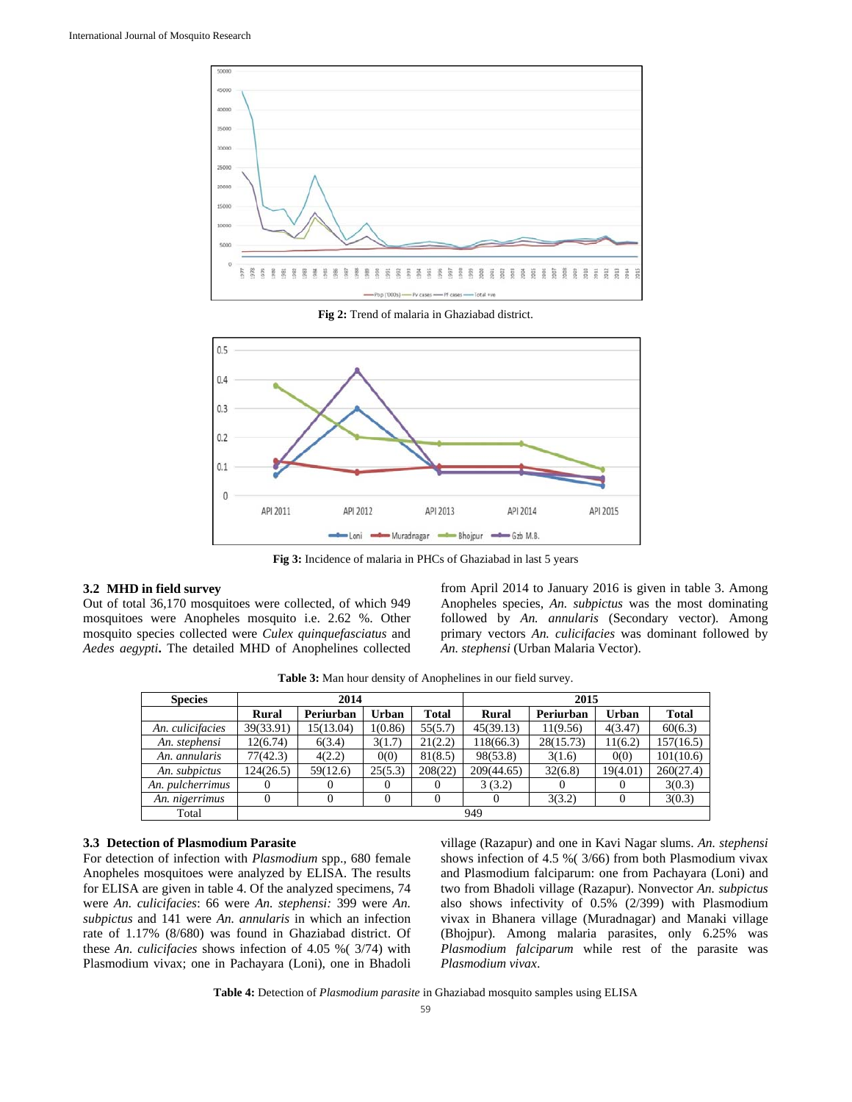

**Fig 2:** Trend of malaria in Ghaziabad district.



**Fig 3:** Incidence of malaria in PHCs of Ghaziabad in last 5 years

# **3.2 MHD in field survey**

Out of total 36,170 mosquitoes were collected, of which 949 mosquitoes were Anopheles mosquito i.e. 2.62 %. Other mosquito species collected were *Culex quinquefasciatus* and *Aedes aegypti***.** The detailed MHD of Anophelines collected from April 2014 to January 2016 is given in table 3. Among Anopheles species, *An. subpictus* was the most dominating followed by *An. annularis* (Secondary vector). Among primary vectors *An. culicifacies* was dominant followed by *An. stephensi* (Urban Malaria Vector).

| <b>Species</b>   |           | 2014      |              |              | 2015         |           |              |              |  |
|------------------|-----------|-----------|--------------|--------------|--------------|-----------|--------------|--------------|--|
|                  | Rural     | Periurban | <b>Urban</b> | <b>Total</b> | <b>Rural</b> | Periurban | <b>Urban</b> | <b>Total</b> |  |
| An. culicifacies | 39(33.91) | 15(13.04) | 1(0.86)      | 55(5.7)      | 45(39.13)    | 11(9.56)  | 4(3.47)      | 60(6.3)      |  |
| An. stephensi    | 12(6.74)  | 6(3.4)    | 3(1.7)       | 21(2.2)      | 118(66.3)    | 28(15.73) | 11(6.2)      | 157(16.5)    |  |
| An. annularis    | 77(42.3)  | 4(2.2)    | 0(0)         | 81(8.5)      | 98(53.8)     | 3(1.6)    | 0(0)         | 101(10.6)    |  |
| An. subpictus    | 124(26.5) | 59(12.6)  | 25(5.3)      | 208(22)      | 209(44.65)   | 32(6.8)   | 19(4.01)     | 260(27.4)    |  |
| An. pulcherrimus | 0         | $\Omega$  | 0            |              | 3(3.2)       | 0         | $\theta$     | 3(0.3)       |  |
| An. nigerrimus   | 0         | $\Omega$  | 0            |              | 0            | 3(3.2)    | 0            | 3(0.3)       |  |
| Total            |           |           |              |              | 949          |           |              |              |  |

**Table 3:** Man hour density of Anophelines in our field survey.

# **3.3 Detection of Plasmodium Parasite**

For detection of infection with *Plasmodium* spp., 680 female Anopheles mosquitoes were analyzed by ELISA. The results for ELISA are given in table 4. Of the analyzed specimens, 74 were *An. culicifacies*: 66 were *An. stephensi:* 399 were *An. subpictus* and 141 were *An. annularis* in which an infection rate of 1.17% (8/680) was found in Ghaziabad district. Of these *An. culicifacies* shows infection of 4.05 %( 3/74) with Plasmodium vivax; one in Pachayara (Loni), one in Bhadoli village (Razapur) and one in Kavi Nagar slums. *An. stephensi* shows infection of 4.5 %( 3/66) from both Plasmodium vivax and Plasmodium falciparum: one from Pachayara (Loni) and two from Bhadoli village (Razapur). Nonvector *An. subpictus* also shows infectivity of 0.5% (2/399) with Plasmodium vivax in Bhanera village (Muradnagar) and Manaki village (Bhojpur). Among malaria parasites, only 6.25% was *Plasmodium falciparum* while rest of the parasite was *Plasmodium vivax*.

**Table 4:** Detection of *Plasmodium parasite* in Ghaziabad mosquito samples using ELISA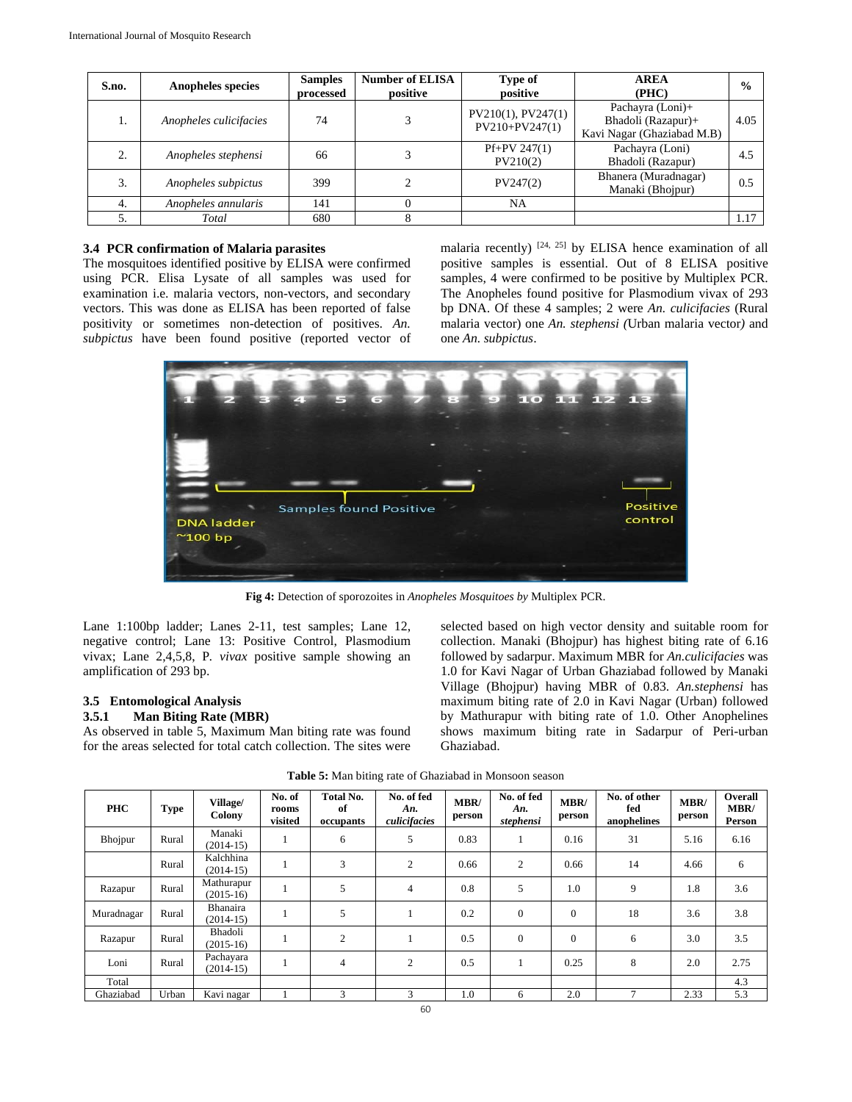| S.no. | Anopheles species      | <b>Samples</b><br>processed | <b>Number of ELISA</b><br>positive | Type of<br>positive                         | <b>AREA</b><br>(PHC)                                                 | $\frac{0}{0}$ |
|-------|------------------------|-----------------------------|------------------------------------|---------------------------------------------|----------------------------------------------------------------------|---------------|
| ı.    | Anopheles culicifacies | 74                          |                                    | $PV210(1)$ , $PV247(1)$<br>$PV210+PV247(1)$ | Pachayra (Loni)+<br>Bhadoli (Razapur)+<br>Kavi Nagar (Ghaziabad M.B) | 4.05          |
| 2.    | Anopheles stephensi    | 66                          |                                    | $Pf+PV 247(1)$<br>PV210(2)                  | Pachayra (Loni)<br>Bhadoli (Razapur)                                 | 4.5           |
| 3.    | Anopheles subpictus    | 399                         |                                    | PV247(2)                                    | Bhanera (Muradnagar)<br>Manaki (Bhojpur)                             | 0.5           |
| 4.    | Anopheles annularis    | 141                         |                                    | NA                                          |                                                                      |               |
|       | Total                  | 680                         |                                    |                                             |                                                                      | 1.17          |

## **3.4 PCR confirmation of Malaria parasites**

The mosquitoes identified positive by ELISA were confirmed using PCR. Elisa Lysate of all samples was used for examination i.e. malaria vectors, non-vectors, and secondary vectors. This was done as ELISA has been reported of false positivity or sometimes non-detection of positives. *An. subpictus* have been found positive (reported vector of malaria recently)  $[24, 25]$  by ELISA hence examination of all positive samples is essential. Out of 8 ELISA positive samples, 4 were confirmed to be positive by Multiplex PCR. The Anopheles found positive for Plasmodium vivax of 293 bp DNA. Of these 4 samples; 2 were *An. culicifacies* (Rural malaria vector) one *An. stephensi (*Urban malaria vector*)* and one *An. subpictus*.



**Fig 4:** Detection of sporozoites in *Anopheles Mosquitoes by* Multiplex PCR.

Lane 1:100bp ladder; Lanes 2-11, test samples; Lane 12, negative control; Lane 13: Positive Control, Plasmodium vivax; Lane 2,4,5,8, P*. vivax* positive sample showing an amplification of 293 bp.

#### **3.5 Entomological Analysis 3.5.1 Man Biting Rate (MBR)**

As observed in table 5, Maximum Man biting rate was found for the areas selected for total catch collection. The sites were selected based on high vector density and suitable room for collection. Manaki (Bhojpur) has highest biting rate of 6.16 followed by sadarpur. Maximum MBR for *An.culicifacies* was 1.0 for Kavi Nagar of Urban Ghaziabad followed by Manaki Village (Bhojpur) having MBR of 0.83. *An.stephensi* has maximum biting rate of 2.0 in Kavi Nagar (Urban) followed by Mathurapur with biting rate of 1.0. Other Anophelines shows maximum biting rate in Sadarpur of Peri-urban Ghaziabad.

| <b>PHC</b> | <b>Type</b> | Village/<br>Colony             | No. of<br>rooms<br>visited | Total No.<br>of<br>occupants | No. of fed<br>An.<br>culicifacies | MBR/<br>person | No. of fed<br>An.<br>stephensi | MBR/<br>person | No. of other<br>fed<br>anophelines | <b>MBR</b><br>person | Overall<br>MBR/<br>Person |
|------------|-------------|--------------------------------|----------------------------|------------------------------|-----------------------------------|----------------|--------------------------------|----------------|------------------------------------|----------------------|---------------------------|
| Bhojpur    | Rural       | Manaki<br>$(2014-15)$          |                            | 6                            | 5                                 | 0.83           |                                | 0.16           | 31                                 | 5.16                 | 6.16                      |
|            | Rural       | Kalchhina<br>$(2014-15)$       |                            | 3                            | 2                                 | 0.66           | 2                              | 0.66           | 14                                 | 4.66                 | 6                         |
| Razapur    | Rural       | Mathurapur<br>$(2015-16)$      |                            | 5                            | $\overline{4}$                    | 0.8            | 5                              | 1.0            | 9                                  | 1.8                  | 3.6                       |
| Muradnagar | Rural       | <b>Bhanaira</b><br>$(2014-15)$ |                            | 5                            |                                   | 0.2            | $\Omega$                       | $\Omega$       | 18                                 | 3.6                  | 3.8                       |
| Razapur    | Rural       | Bhadoli<br>$(2015-16)$         |                            | $\overline{c}$               |                                   | 0.5            | $\mathbf{0}$                   | $\mathbf{0}$   | 6                                  | 3.0                  | 3.5                       |
| Loni       | Rural       | Pachayara<br>$(2014-15)$       |                            | $\overline{4}$               | $\overline{c}$                    | 0.5            | 1                              | 0.25           | 8                                  | 2.0                  | 2.75                      |
| Total      |             |                                |                            |                              |                                   |                |                                |                |                                    |                      | 4.3                       |
| Ghaziabad  | Urban       | Kavi nagar                     |                            | 3                            | 3                                 | 1.0            | 6                              | 2.0            | 7                                  | 2.33                 | 5.3                       |

**Table 5:** Man biting rate of Ghaziabad in Monsoon season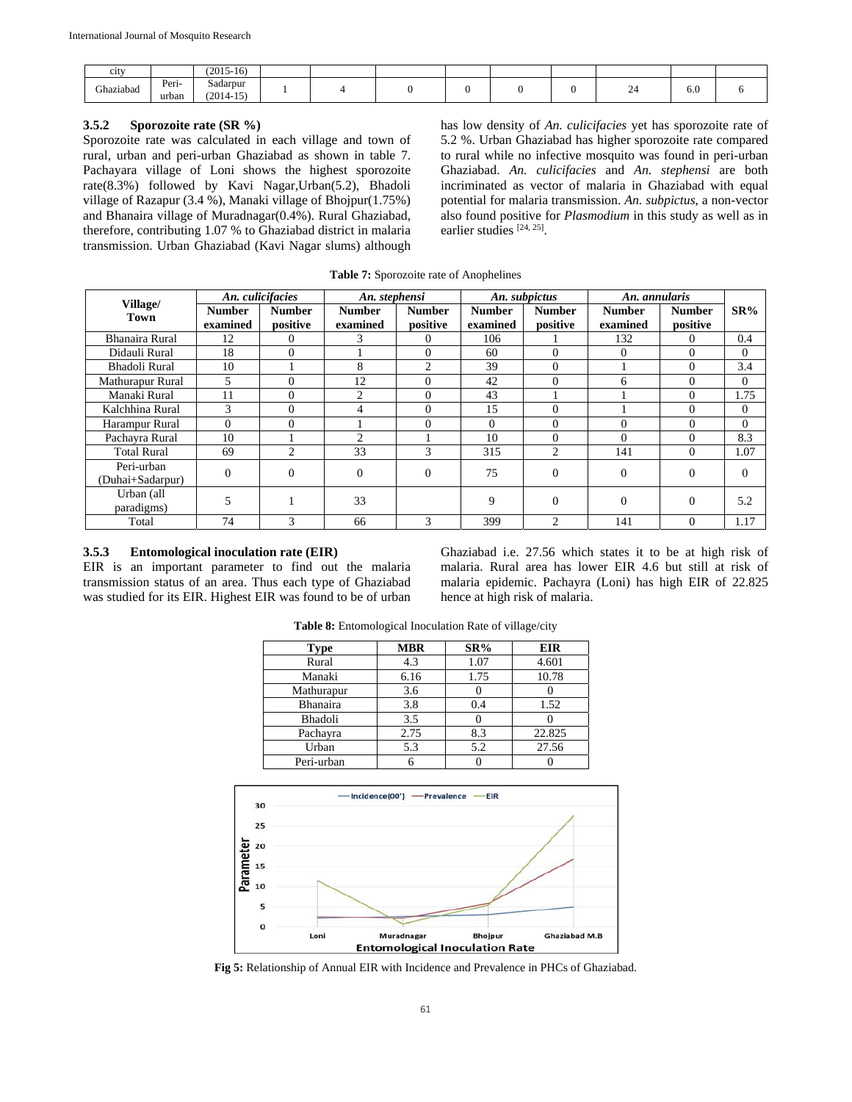| <b>C<sub>I</sub></b> |                | $(2015-16)$                                  |  |  |  |   |                   |  |
|----------------------|----------------|----------------------------------------------|--|--|--|---|-------------------|--|
| $\sim$<br>Ghaziabad  | Peri-<br>urban | Sadarpur<br>$\rightarrow$<br>$2014 -$<br>ر د |  |  |  | ∽ | $\epsilon$<br>0.U |  |

## **3.5.2 Sporozoite rate (SR %)**

Sporozoite rate was calculated in each village and town of rural, urban and peri-urban Ghaziabad as shown in table 7. Pachayara village of Loni shows the highest sporozoite rate(8.3%) followed by Kavi Nagar,Urban(5.2), Bhadoli village of Razapur (3.4 %), Manaki village of Bhojpur(1.75%) and Bhanaira village of Muradnagar(0.4%). Rural Ghaziabad, therefore, contributing 1.07 % to Ghaziabad district in malaria transmission. Urban Ghaziabad (Kavi Nagar slums) although has low density of *An. culicifacies* yet has sporozoite rate of 5.2 %. Urban Ghaziabad has higher sporozoite rate compared to rural while no infective mosquito was found in peri-urban Ghaziabad. *An. culicifacies* and *An. stephensi* are both incriminated as vector of malaria in Ghaziabad with equal potential for malaria transmission. *An. subpictus*, a non-vector also found positive for *Plasmodium* in this study as well as in earlier studies [24, 25].

|                                |                           | An. culicifacies          |                           | An. stephensi             |                           | An. subpictus             |                           | An. annularis             |          |
|--------------------------------|---------------------------|---------------------------|---------------------------|---------------------------|---------------------------|---------------------------|---------------------------|---------------------------|----------|
| Village/<br><b>Town</b>        | <b>Number</b><br>examined | <b>Number</b><br>positive | <b>Number</b><br>examined | <b>Number</b><br>positive | <b>Number</b><br>examined | <b>Number</b><br>positive | <b>Number</b><br>examined | <b>Number</b><br>positive | $SR\%$   |
| <b>Bhanaira Rural</b>          | 12                        | $\Omega$                  | 3                         | $\Omega$                  | 106                       |                           | 132                       | 0                         | 0.4      |
| Didauli Rural                  | 18                        | $\Omega$                  |                           | $\Omega$                  | 60                        | $\Omega$                  | $\Omega$                  | 0                         | $\Omega$ |
| Bhadoli Rural                  | 10                        |                           | 8                         | $\mathfrak{D}$            | 39                        | $\Omega$                  |                           | 0                         | 3.4      |
| Mathurapur Rural               | 5                         | $\Omega$                  | 12                        | $\Omega$                  | 42                        | $\Omega$                  | 6                         | $\Omega$                  | $\Omega$ |
| Manaki Rural                   | 11                        | $\Omega$                  | $\overline{2}$            | $\Omega$                  | 43                        |                           |                           | $\Omega$                  | 1.75     |
| Kalchhina Rural                | 3                         | $\Omega$                  | $\overline{4}$            | $\Omega$                  | 15                        | $\Omega$                  |                           | $\Omega$                  | $\Omega$ |
| Harampur Rural                 | $\Omega$                  | $\Omega$                  |                           | $\Omega$                  | $\Omega$                  | $\Omega$                  | $\Omega$                  | $\Omega$                  | $\Omega$ |
| Pachayra Rural                 | 10                        |                           | 2                         |                           | 10                        | $\Omega$                  | $\Omega$                  | $\Omega$                  | 8.3      |
| <b>Total Rural</b>             | 69                        | $\overline{c}$            | 33                        | $\mathcal{R}$             | 315                       | $\overline{2}$            | 141                       | $\Omega$                  | 1.07     |
| Peri-urban<br>(Duhai+Sadarpur) | $\Omega$                  | $\Omega$                  | $\mathbf{0}$              | $\Omega$                  | 75                        | $\Omega$                  | $\Omega$                  | $\Omega$                  | $\Omega$ |
| Urban (all<br>paradigms)       | 5                         |                           | 33                        |                           | 9                         | $\mathbf{0}$              | $\Omega$                  | $\mathbf{0}$              | 5.2      |
| Total                          | 74                        | 3                         | 66                        | 3                         | 399                       | $\overline{2}$            | 141                       | $\Omega$                  | 1.17     |

**Table 7:** Sporozoite rate of Anophelines

# **3.5.3 Entomological inoculation rate (EIR)**

EIR is an important parameter to find out the malaria transmission status of an area. Thus each type of Ghaziabad was studied for its EIR. Highest EIR was found to be of urban Ghaziabad i.e. 27.56 which states it to be at high risk of malaria. Rural area has lower EIR 4.6 but still at risk of malaria epidemic. Pachayra (Loni) has high EIR of 22.825 hence at high risk of malaria.

| <b>Type</b>     | <b>MBR</b> | $SR\%$ | <b>EIR</b> |
|-----------------|------------|--------|------------|
| Rural           | 4.3        | 1.07   | 4.601      |
| Manaki          | 6.16       | 1.75   | 10.78      |
| Mathurapur      | 3.6        |        |            |
| <b>Bhanaira</b> | 3.8        | 0.4    | 1.52       |
| <b>Bhadoli</b>  | 3.5        |        |            |
| Pachayra        | 2.75       | 8.3    | 22.825     |
| Urban           | 5.3        | 5.2    | 27.56      |
| Peri-urban      |            |        |            |

**Table 8:** Entomological Inoculation Rate of village/city



**Fig 5:** Relationship of Annual EIR with Incidence and Prevalence in PHCs of Ghaziabad.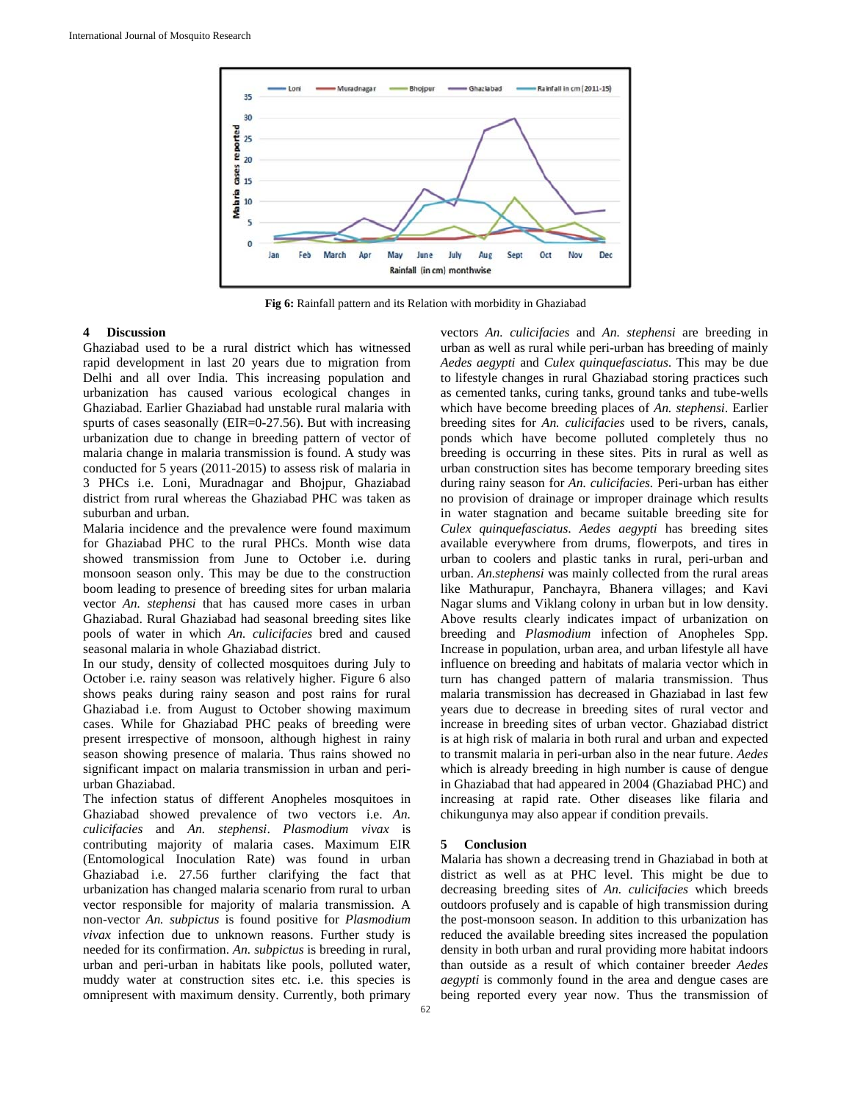

**Fig 6:** Rainfall pattern and its Relation with morbidity in Ghaziabad

## **4 Discussion**

Ghaziabad used to be a rural district which has witnessed rapid development in last 20 years due to migration from Delhi and all over India. This increasing population and urbanization has caused various ecological changes in Ghaziabad. Earlier Ghaziabad had unstable rural malaria with spurts of cases seasonally (EIR=0-27.56). But with increasing urbanization due to change in breeding pattern of vector of malaria change in malaria transmission is found. A study was conducted for 5 years (2011-2015) to assess risk of malaria in 3 PHCs i.e. Loni, Muradnagar and Bhojpur, Ghaziabad district from rural whereas the Ghaziabad PHC was taken as suburban and urban.

Malaria incidence and the prevalence were found maximum for Ghaziabad PHC to the rural PHCs. Month wise data showed transmission from June to October i.e. during monsoon season only. This may be due to the construction boom leading to presence of breeding sites for urban malaria vector *An. stephensi* that has caused more cases in urban Ghaziabad. Rural Ghaziabad had seasonal breeding sites like pools of water in which *An. culicifacies* bred and caused seasonal malaria in whole Ghaziabad district.

In our study, density of collected mosquitoes during July to October i.e. rainy season was relatively higher. Figure 6 also shows peaks during rainy season and post rains for rural Ghaziabad i.e. from August to October showing maximum cases. While for Ghaziabad PHC peaks of breeding were present irrespective of monsoon, although highest in rainy season showing presence of malaria. Thus rains showed no significant impact on malaria transmission in urban and periurban Ghaziabad.

The infection status of different Anopheles mosquitoes in Ghaziabad showed prevalence of two vectors i.e. *An. culicifacies* and *An. stephensi*. *Plasmodium vivax* is contributing majority of malaria cases. Maximum EIR (Entomological Inoculation Rate) was found in urban Ghaziabad i.e. 27.56 further clarifying the fact that urbanization has changed malaria scenario from rural to urban vector responsible for majority of malaria transmission. A non-vector *An. subpictus* is found positive for *Plasmodium vivax* infection due to unknown reasons. Further study is needed for its confirmation. *An. subpictus* is breeding in rural, urban and peri-urban in habitats like pools, polluted water, muddy water at construction sites etc. i.e. this species is omnipresent with maximum density. Currently, both primary

vectors *An. culicifacies* and *An. stephensi* are breeding in urban as well as rural while peri-urban has breeding of mainly *Aedes aegypti* and *Culex quinquefasciatus*. This may be due to lifestyle changes in rural Ghaziabad storing practices such as cemented tanks, curing tanks, ground tanks and tube-wells which have become breeding places of *An. stephensi*. Earlier breeding sites for *An. culicifacies* used to be rivers, canals, ponds which have become polluted completely thus no breeding is occurring in these sites. Pits in rural as well as urban construction sites has become temporary breeding sites during rainy season for *An. culicifacies.* Peri-urban has either no provision of drainage or improper drainage which results in water stagnation and became suitable breeding site for *Culex quinquefasciatus*. *Aedes aegypti* has breeding sites available everywhere from drums, flowerpots, and tires in urban to coolers and plastic tanks in rural, peri-urban and urban. *An.stephensi* was mainly collected from the rural areas like Mathurapur, Panchayra, Bhanera villages; and Kavi Nagar slums and Viklang colony in urban but in low density. Above results clearly indicates impact of urbanization on breeding and *Plasmodium* infection of Anopheles Spp. Increase in population, urban area, and urban lifestyle all have influence on breeding and habitats of malaria vector which in turn has changed pattern of malaria transmission. Thus malaria transmission has decreased in Ghaziabad in last few years due to decrease in breeding sites of rural vector and increase in breeding sites of urban vector. Ghaziabad district is at high risk of malaria in both rural and urban and expected to transmit malaria in peri-urban also in the near future. *Aedes* which is already breeding in high number is cause of dengue in Ghaziabad that had appeared in 2004 (Ghaziabad PHC) and increasing at rapid rate. Other diseases like filaria and chikungunya may also appear if condition prevails.

# **5 Conclusion**

Malaria has shown a decreasing trend in Ghaziabad in both at district as well as at PHC level. This might be due to decreasing breeding sites of *An. culicifacies* which breeds outdoors profusely and is capable of high transmission during the post-monsoon season. In addition to this urbanization has reduced the available breeding sites increased the population density in both urban and rural providing more habitat indoors than outside as a result of which container breeder *Aedes aegypti* is commonly found in the area and dengue cases are being reported every year now. Thus the transmission of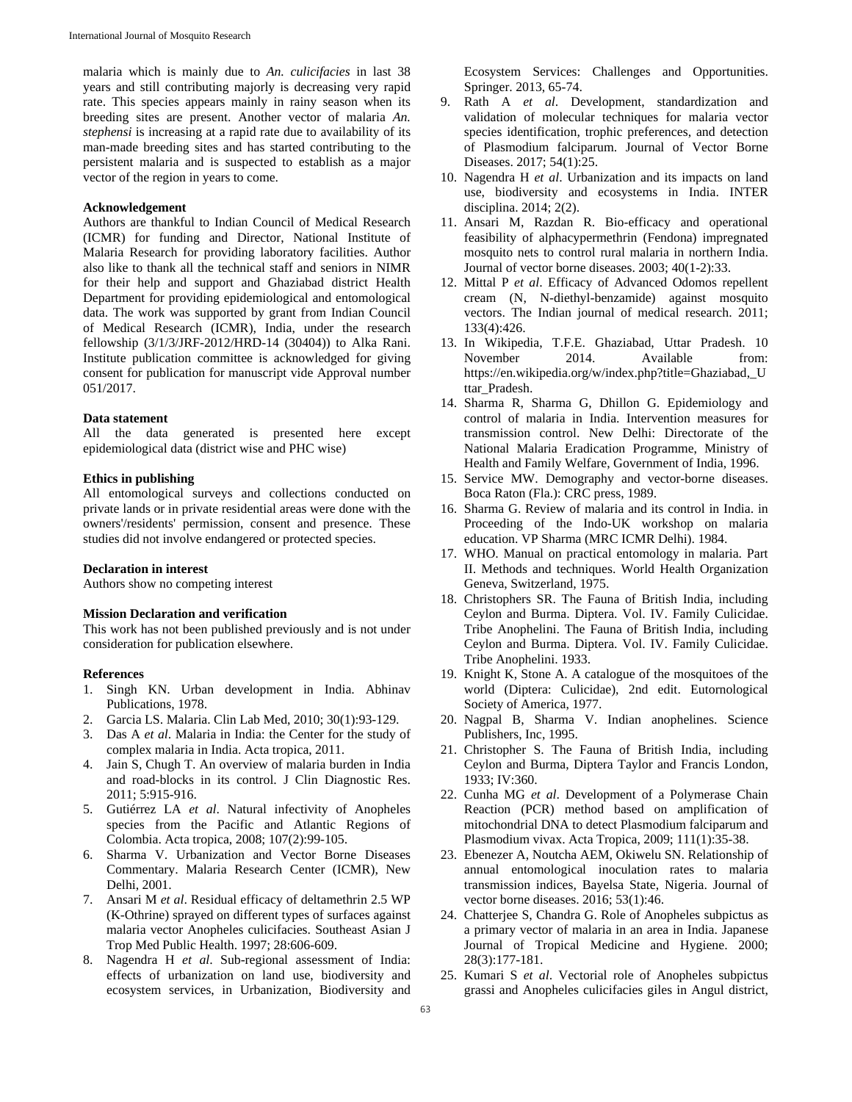malaria which is mainly due to *An. culicifacies* in last 38 years and still contributing majorly is decreasing very rapid rate. This species appears mainly in rainy season when its breeding sites are present. Another vector of malaria *An. stephensi* is increasing at a rapid rate due to availability of its man-made breeding sites and has started contributing to the persistent malaria and is suspected to establish as a major vector of the region in years to come.

## **Acknowledgement**

Authors are thankful to Indian Council of Medical Research (ICMR) for funding and Director, National Institute of Malaria Research for providing laboratory facilities. Author also like to thank all the technical staff and seniors in NIMR for their help and support and Ghaziabad district Health Department for providing epidemiological and entomological data. The work was supported by grant from Indian Council of Medical Research (ICMR), India, under the research fellowship (3/1/3/JRF-2012/HRD-14 (30404)) to Alka Rani. Institute publication committee is acknowledged for giving consent for publication for manuscript vide Approval number 051/2017.

#### **Data statement**

All the data generated is presented here except epidemiological data (district wise and PHC wise)

## **Ethics in publishing**

All entomological surveys and collections conducted on private lands or in private residential areas were done with the owners'/residents' permission, consent and presence. These studies did not involve endangered or protected species.

#### **Declaration in interest**

Authors show no competing interest

## **Mission Declaration and verification**

This work has not been published previously and is not under consideration for publication elsewhere.

#### **References**

- 1. Singh KN. Urban development in India. Abhinav Publications, 1978.
- 2. Garcia LS. Malaria. Clin Lab Med, 2010; 30(1):93-129.
- 3. Das A *et al*. Malaria in India: the Center for the study of complex malaria in India. Acta tropica, 2011.
- 4. Jain S, Chugh T. An overview of malaria burden in India and road-blocks in its control. J Clin Diagnostic Res. 2011; 5:915-916.
- 5. Gutiérrez LA *et al*. Natural infectivity of Anopheles species from the Pacific and Atlantic Regions of Colombia. Acta tropica, 2008; 107(2):99-105.
- 6. Sharma V. Urbanization and Vector Borne Diseases Commentary. Malaria Research Center (ICMR), New Delhi, 2001.
- 7. Ansari M *et al*. Residual efficacy of deltamethrin 2.5 WP (K-Othrine) sprayed on different types of surfaces against malaria vector Anopheles culicifacies. Southeast Asian J Trop Med Public Health. 1997; 28:606-609.
- 8. Nagendra H *et al*. Sub-regional assessment of India: effects of urbanization on land use, biodiversity and ecosystem services, in Urbanization, Biodiversity and

Ecosystem Services: Challenges and Opportunities. Springer. 2013, 65-74.

- 9. Rath A *et al*. Development, standardization and validation of molecular techniques for malaria vector species identification, trophic preferences, and detection of Plasmodium falciparum. Journal of Vector Borne Diseases. 2017; 54(1):25.
- 10. Nagendra H *et al*. Urbanization and its impacts on land use, biodiversity and ecosystems in India. INTER disciplina. 2014; 2(2).
- 11. Ansari M, Razdan R. Bio-efficacy and operational feasibility of alphacypermethrin (Fendona) impregnated mosquito nets to control rural malaria in northern India. Journal of vector borne diseases. 2003; 40(1-2):33.
- 12. Mittal P *et al*. Efficacy of Advanced Odomos repellent cream (N, N-diethyl-benzamide) against mosquito vectors. The Indian journal of medical research. 2011; 133(4):426.
- 13. In Wikipedia, T.F.E. Ghaziabad, Uttar Pradesh. 10 November 2014. Available from: https://en.wikipedia.org/w/index.php?title=Ghaziabad,\_U ttar\_Pradesh.
- 14. Sharma R, Sharma G, Dhillon G. Epidemiology and control of malaria in India. Intervention measures for transmission control. New Delhi: Directorate of the National Malaria Eradication Programme, Ministry of Health and Family Welfare, Government of India, 1996.
- 15. Service MW. Demography and vector-borne diseases. Boca Raton (Fla.): CRC press, 1989.
- 16. Sharma G. Review of malaria and its control in India. in Proceeding of the Indo-UK workshop on malaria education. VP Sharma (MRC ICMR Delhi). 1984.
- 17. WHO. Manual on practical entomology in malaria. Part II. Methods and techniques. World Health Organization Geneva, Switzerland, 1975.
- 18. Christophers SR. The Fauna of British India, including Ceylon and Burma. Diptera. Vol. IV. Family Culicidae. Tribe Anophelini. The Fauna of British India, including Ceylon and Burma. Diptera. Vol. IV. Family Culicidae. Tribe Anophelini. 1933.
- 19. Knight K, Stone A. A catalogue of the mosquitoes of the world (Diptera: Culicidae), 2nd edit. Eutornological Society of America, 1977.
- 20. Nagpal B, Sharma V. Indian anophelines. Science Publishers, Inc, 1995.
- 21. Christopher S. The Fauna of British India, including Ceylon and Burma, Diptera Taylor and Francis London, 1933; IV:360.
- 22. Cunha MG *et al*. Development of a Polymerase Chain Reaction (PCR) method based on amplification of mitochondrial DNA to detect Plasmodium falciparum and Plasmodium vivax. Acta Tropica, 2009; 111(1):35-38.
- 23. Ebenezer A, Noutcha AEM, Okiwelu SN. Relationship of annual entomological inoculation rates to malaria transmission indices, Bayelsa State, Nigeria. Journal of vector borne diseases. 2016; 53(1):46.
- 24. Chatterjee S, Chandra G. Role of Anopheles subpictus as a primary vector of malaria in an area in India. Japanese Journal of Tropical Medicine and Hygiene. 2000; 28(3):177-181.
- 25. Kumari S *et al*. Vectorial role of Anopheles subpictus grassi and Anopheles culicifacies giles in Angul district,